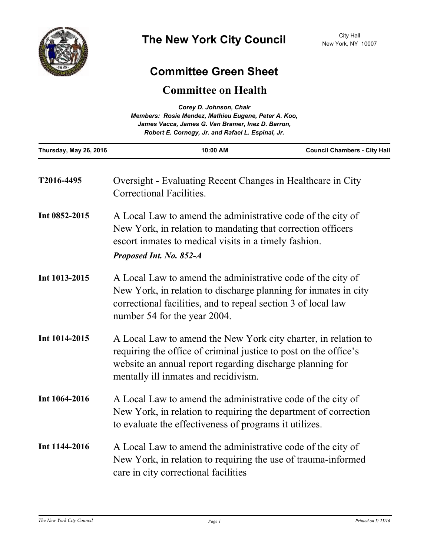

## **Committee Green Sheet**

## **Committee on Health**

| Corey D. Johnson, Chair<br>Members: Rosie Mendez, Mathieu Eugene, Peter A. Koo,<br>James Vacca, James G. Van Bramer, Inez D. Barron,<br>Robert E. Cornegy, Jr. and Rafael L. Espinal, Jr. |                                                                                                                                                                                                                                         |                                     |
|-------------------------------------------------------------------------------------------------------------------------------------------------------------------------------------------|-----------------------------------------------------------------------------------------------------------------------------------------------------------------------------------------------------------------------------------------|-------------------------------------|
| Thursday, May 26, 2016                                                                                                                                                                    | 10:00 AM                                                                                                                                                                                                                                | <b>Council Chambers - City Hall</b> |
| T2016-4495                                                                                                                                                                                | Oversight - Evaluating Recent Changes in Healthcare in City<br>Correctional Facilities.                                                                                                                                                 |                                     |
| Int 0852-2015                                                                                                                                                                             | A Local Law to amend the administrative code of the city of<br>New York, in relation to mandating that correction officers<br>escort inmates to medical visits in a timely fashion.                                                     |                                     |
|                                                                                                                                                                                           | Proposed Int. No. 852-A                                                                                                                                                                                                                 |                                     |
| Int 1013-2015                                                                                                                                                                             | A Local Law to amend the administrative code of the city of<br>New York, in relation to discharge planning for inmates in city<br>correctional facilities, and to repeal section 3 of local law<br>number 54 for the year 2004.         |                                     |
| Int 1014-2015                                                                                                                                                                             | A Local Law to amend the New York city charter, in relation to<br>requiring the office of criminal justice to post on the office's<br>website an annual report regarding discharge planning for<br>mentally ill inmates and recidivism. |                                     |
| Int 1064-2016                                                                                                                                                                             | A Local Law to amend the administrative code of the city of<br>New York, in relation to requiring the department of correction<br>to evaluate the effectiveness of programs it utilizes.                                                |                                     |
| Int 1144-2016                                                                                                                                                                             | A Local Law to amend the administrative code of the city of<br>New York, in relation to requiring the use of trauma-informed<br>care in city correctional facilities                                                                    |                                     |